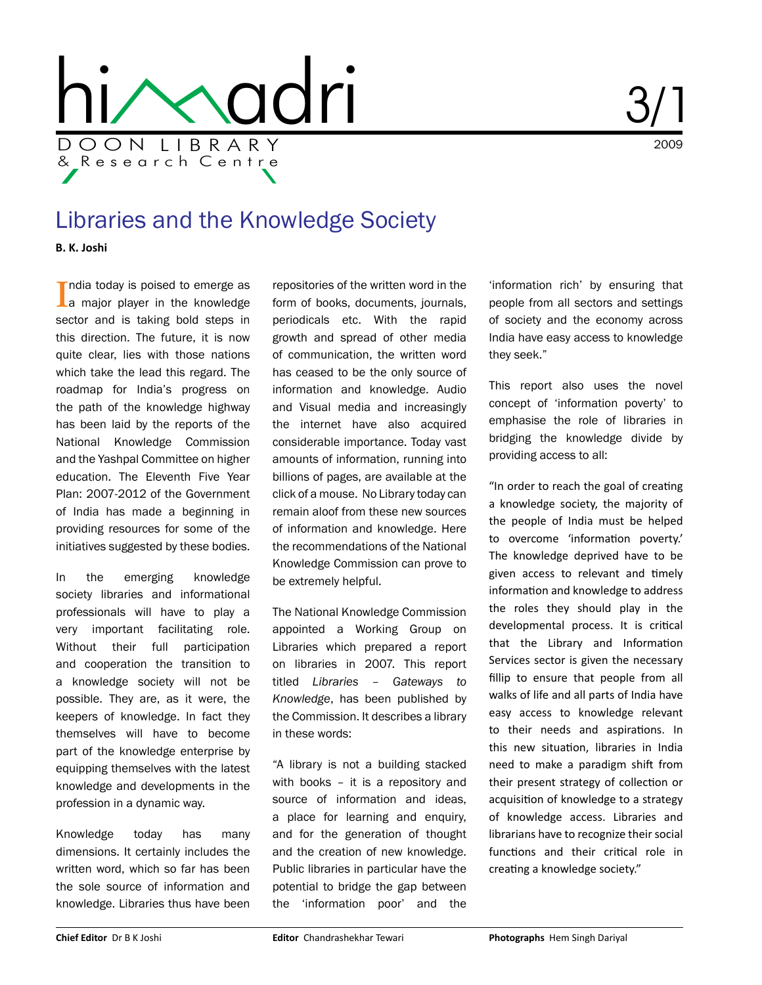

2009 3/1

## Libraries and the Knowledge Society

**B. K. Joshi**

India today is poised to emerge as<br>I a major player in the knowledge La major player in the knowledge sector and is taking bold steps in this direction. The future, it is now quite clear, lies with those nations which take the lead this regard. The roadmap for India's progress on the path of the knowledge highway has been laid by the reports of the National Knowledge Commission and the Yashpal Committee on higher education. The Eleventh Five Year Plan: 2007-2012 of the Government of India has made a beginning in providing resources for some of the initiatives suggested by these bodies.

In the emerging knowledge society libraries and informational professionals will have to play a very important facilitating role. Without their full participation and cooperation the transition to a knowledge society will not be possible. They are, as it were, the keepers of knowledge. In fact they themselves will have to become part of the knowledge enterprise by equipping themselves with the latest knowledge and developments in the profession in a dynamic way.

Knowledge today has many dimensions. It certainly includes the written word, which so far has been the sole source of information and knowledge. Libraries thus have been

repositories of the written word in the form of books, documents, journals, periodicals etc. With the rapid growth and spread of other media of communication, the written word has ceased to be the only source of information and knowledge. Audio and Visual media and increasingly the internet have also acquired considerable importance. Today vast amounts of information, running into billions of pages, are available at the click of a mouse. No Library today can remain aloof from these new sources of information and knowledge. Here the recommendations of the National Knowledge Commission can prove to be extremely helpful.

The National Knowledge Commission appointed a Working Group on Libraries which prepared a report on libraries in 2007. This report titled *Libraries – Gateways to Knowledge*, has been published by the Commission. It describes a library in these words:

"A library is not a building stacked with books – it is a repository and source of information and ideas, a place for learning and enquiry, and for the generation of thought and the creation of new knowledge. Public libraries in particular have the potential to bridge the gap between the 'information poor' and the

'information rich' by ensuring that people from all sectors and settings of society and the economy across India have easy access to knowledge they seek."

This report also uses the novel concept of 'information poverty' to emphasise the role of libraries in bridging the knowledge divide by providing access to all:

"In order to reach the goal of creating a knowledge society, the majority of the people of India must be helped to overcome 'information poverty.' The knowledge deprived have to be given access to relevant and timely information and knowledge to address the roles they should play in the developmental process. It is critical that the Library and Information Services sector is given the necessary fillip to ensure that people from all walks of life and all parts of India have easy access to knowledge relevant to their needs and aspirations. In this new situation, libraries in India need to make a paradigm shift from their present strategy of collection or acquisition of knowledge to a strategy of knowledge access. Libraries and librarians have to recognize their social functions and their critical role in creating a knowledge society."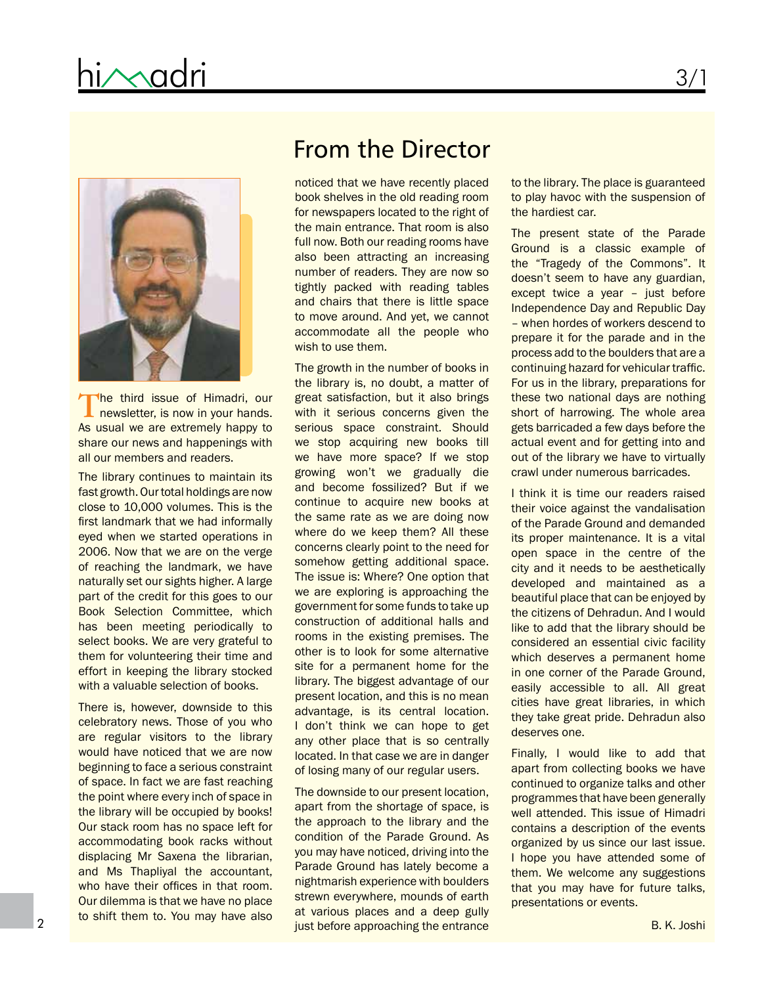

The third issue of Himadri, our **L** newsletter, is now in your hands. As usual we are extremely happy to share our news and happenings with all our members and readers.

The library continues to maintain its fast growth. Our total holdings are now close to 10,000 volumes. This is the first landmark that we had informally eyed when we started operations in 2006. Now that we are on the verge of reaching the landmark, we have naturally set our sights higher. A large part of the credit for this goes to our Book Selection Committee, which has been meeting periodically to select books. We are very grateful to them for volunteering their time and effort in keeping the library stocked with a valuable selection of books.

There is, however, downside to this celebratory news. Those of you who are regular visitors to the library would have noticed that we are now beginning to face a serious constraint of space. In fact we are fast reaching the point where every inch of space in the library will be occupied by books! Our stack room has no space left for accommodating book racks without displacing Mr Saxena the librarian, and Ms Thapliyal the accountant, who have their offices in that room. Our dilemma is that we have no place to shift them to. You may have also

## From the Director

noticed that we have recently placed book shelves in the old reading room for newspapers located to the right of the main entrance. That room is also full now. Both our reading rooms have also been attracting an increasing number of readers. They are now so tightly packed with reading tables and chairs that there is little space to move around. And yet, we cannot accommodate all the people who wish to use them.

The growth in the number of books in the library is, no doubt, a matter of great satisfaction, but it also brings with it serious concerns given the serious space constraint. Should we stop acquiring new books till we have more space? If we stop growing won't we gradually die and become fossilized? But if we continue to acquire new books at the same rate as we are doing now where do we keep them? All these concerns clearly point to the need for somehow getting additional space. The issue is: Where? One option that we are exploring is approaching the government for some funds to take up construction of additional halls and rooms in the existing premises. The other is to look for some alternative site for a permanent home for the library. The biggest advantage of our present location, and this is no mean advantage, is its central location. I don't think we can hope to get any other place that is so centrally located. In that case we are in danger of losing many of our regular users.

The downside to our present location, apart from the shortage of space, is the approach to the library and the condition of the Parade Ground. As you may have noticed, driving into the Parade Ground has lately become a nightmarish experience with boulders strewn everywhere, mounds of earth at various places and a deep gully just before approaching the entrance

to the library. The place is guaranteed to play havoc with the suspension of the hardiest car.

The present state of the Parade Ground is a classic example of the "Tragedy of the Commons". It doesn't seem to have any guardian, except twice a year – just before Independence Day and Republic Day – when hordes of workers descend to prepare it for the parade and in the process add to the boulders that are a continuing hazard for vehicular traffic. For us in the library, preparations for these two national days are nothing short of harrowing. The whole area gets barricaded a few days before the actual event and for getting into and out of the library we have to virtually crawl under numerous barricades.

I think it is time our readers raised their voice against the vandalisation of the Parade Ground and demanded its proper maintenance. It is a vital open space in the centre of the city and it needs to be aesthetically developed and maintained as a beautiful place that can be enjoyed by the citizens of Dehradun. And I would like to add that the library should be considered an essential civic facility which deserves a permanent home in one corner of the Parade Ground, easily accessible to all. All great cities have great libraries, in which they take great pride. Dehradun also deserves one.

Finally, I would like to add that apart from collecting books we have continued to organize talks and other programmes that have been generally well attended. This issue of Himadri contains a description of the events organized by us since our last issue. I hope you have attended some of them. We welcome any suggestions that you may have for future talks, presentations or events.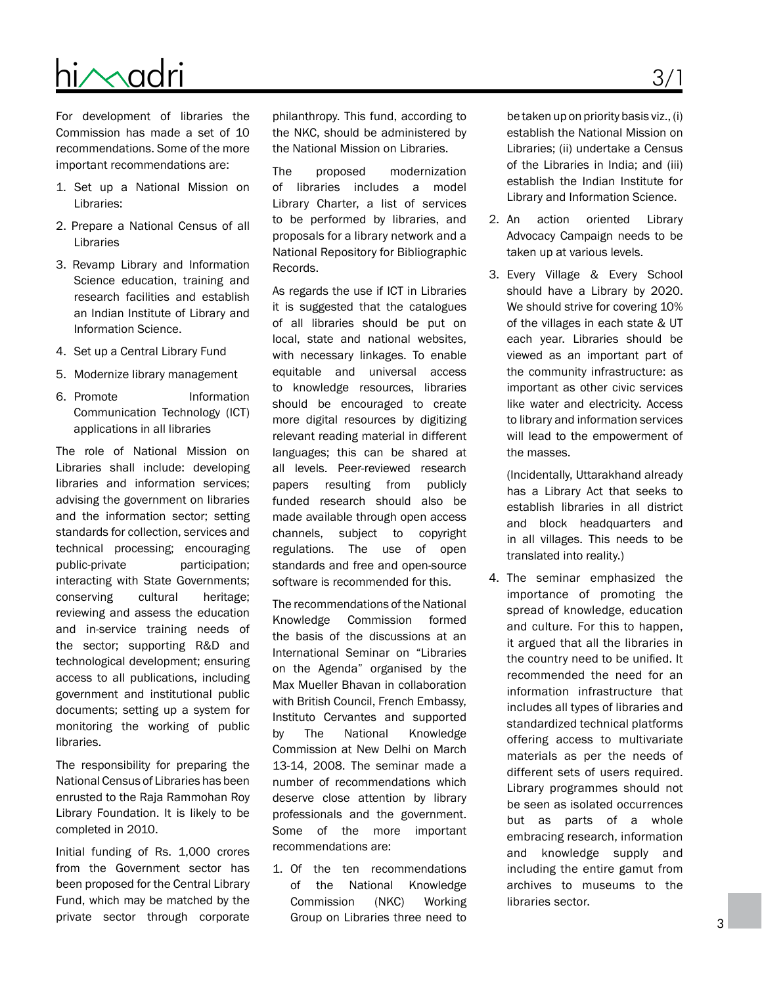## D O O N L I B R A R Y & R e s e a r c h C e n t r e hi/Madri

For development of libraries the Commission has made a set of 10 recommendations. Some of the more important recommendations are:

- 1. Set up a National Mission on Libraries:
- 2. Prepare a National Census of all Libraries
- 3. Revamp Library and Information Science education, training and research facilities and establish an Indian Institute of Library and Information Science.
- 4. Set up a Central Library Fund
- 5. Modernize library management
- 6. Promote Information Communication Technology (ICT) applications in all libraries

The role of National Mission on Libraries shall include: developing libraries and information services; advising the government on libraries and the information sector; setting standards for collection, services and technical processing; encouraging public-private participation; interacting with State Governments; conserving cultural heritage; reviewing and assess the education and in-service training needs of the sector; supporting R&D and technological development; ensuring access to all publications, including government and institutional public documents; setting up a system for monitoring the working of public libraries.

The responsibility for preparing the National Census of Libraries has been enrusted to the Raja Rammohan Roy Library Foundation. It is likely to be completed in 2010.

Initial funding of Rs. 1,000 crores from the Government sector has been proposed for the Central Library Fund, which may be matched by the private sector through corporate

philanthropy. This fund, according to the NKC, should be administered by the National Mission on Libraries.

The proposed modernization of libraries includes a model Library Charter, a list of services to be performed by libraries, and proposals for a library network and a National Repository for Bibliographic Records.

As regards the use if ICT in Libraries it is suggested that the catalogues of all libraries should be put on local, state and national websites, with necessary linkages. To enable equitable and universal access to knowledge resources, libraries should be encouraged to create more digital resources by digitizing relevant reading material in different languages; this can be shared at all levels. Peer-reviewed research papers resulting from publicly funded research should also be made available through open access channels, subject to copyright regulations. The use of open standards and free and open-source software is recommended for this.

The recommendations of the National Knowledge Commission formed the basis of the discussions at an International Seminar on "Libraries on the Agenda" organised by the Max Mueller Bhavan in collaboration with British Council, French Embassy, Instituto Cervantes and supported by The National Knowledge Commission at New Delhi on March 13-14, 2008. The seminar made a number of recommendations which deserve close attention by library professionals and the government. Some of the more important recommendations are:

1. Of the ten recommendations of the National Knowledge Commission (NKC) Working Group on Libraries three need to

be taken up on priority basis viz., (i) establish the National Mission on Libraries; (ii) undertake a Census of the Libraries in India; and (iii) establish the Indian Institute for Library and Information Science.

- 2. An action oriented Library Advocacy Campaign needs to be taken up at various levels.
- 3. Every Village & Every School should have a Library by 2020. We should strive for covering 10% of the villages in each state & UT each year. Libraries should be viewed as an important part of the community infrastructure: as important as other civic services like water and electricity. Access to library and information services will lead to the empowerment of the masses.

(Incidentally, Uttarakhand already has a Library Act that seeks to establish libraries in all district and block headquarters and in all villages. This needs to be translated into reality.)

4. The seminar emphasized the importance of promoting the spread of knowledge, education and culture. For this to happen, it argued that all the libraries in the country need to be unified. It recommended the need for an information infrastructure that includes all types of libraries and standardized technical platforms offering access to multivariate materials as per the needs of different sets of users required. Library programmes should not be seen as isolated occurrences but as parts of a whole embracing research, information and knowledge supply and including the entire gamut from archives to museums to the libraries sector.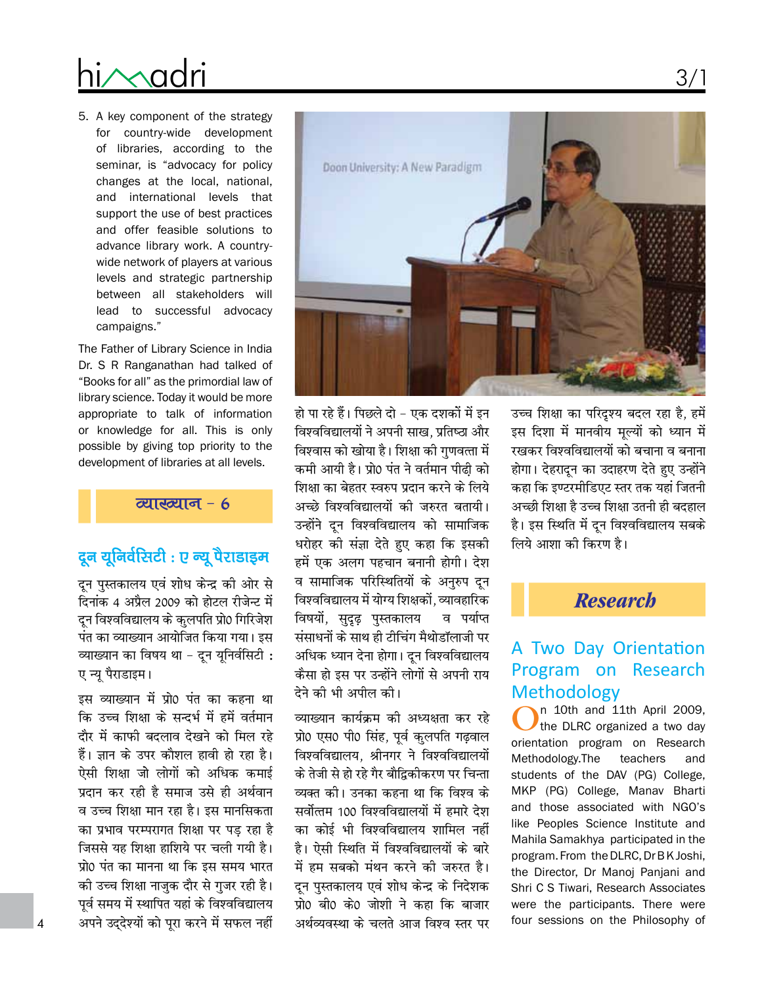# ni∧∧adri

5. A key component of the strategy for country-wide development of libraries, according to the seminar, is "advocacy for policy changes at the local, national, and international levels that support the use of best practices and offer feasible solutions to advance library work. A countrywide network of players at various levels and strategic partnership between all stakeholders will lead to successful advocacy campaigns."

The Father of Library Science in India Dr. S R Ranganathan had talked of "Books for all" as the primordial law of library science. Today it would be more appropriate to talk of information or knowledge for all. This is only possible by giving top priority to the development of libraries at all levels.

व्याख्यान - 6

## दून यूनिर्वसिटी : ए न्यू पैराडाइम

दून पुस्तकालय एवं शोध केन्द्र की ओर से दिनांक 4 अप्रैल 2009 को होटल रीजेन्ट में दून विश्वविद्यालय के कुलपति प्रो0 गिरिजेश पंत का व्याख्यान आयोजित किया गया। इस व्याख्यान का विषय था - दून यूनिर्वसिटी : ए न्यू पैराडाइम।

इस व्याख्यान में प्रो0 पंत का कहना था कि उच्च शिक्षा के सन्दर्भ में हमें वर्तमान दौर में काफी बदलाव देखने को मिल रहे हैं। ज्ञान के उपर कौशल हावी हो रहा है। ऐसी शिक्षा जो लोगों को अधिक कमाई प्रदान कर रही है समाज उसे ही अर्थवान व उच्च शिक्षा मान रहा है। इस मानसिकता का प्रभाव परम्परागत शिक्षा पर पड रहा है जिससे यह शिक्षा हाशिये पर चली गयी है। प्रो0 पंत का मानना था कि इस समय भारत की उच्च शिक्षा नाजुक दौर से गुजर रही है। पूर्व समय में स्थापित यहां के विश्वविद्यालय अपने उद्देश्यों को पूरा करने में सफल नहीं



हो पा रहे हैं। पिछले दो - एक दशकों में इन विश्वविद्यालयों ने अपनी साख, प्रतिष्ठा और विश्वास को खोया है। शिक्षा की गुणवत्ता में कमी आयी है। प्रो0 पंत ने वर्तमान पीढी को शिक्षा का बेहतर स्वरुप प्रदान करने के लिये अच्छे विश्वविद्यालयों की जरुरत बतायी। उन्होंने दून विश्वविद्यालय को सामाजिक धरोहर की संज्ञा देते हुए कहा कि इसकी हमें एक अलग पहचान बनानी होगी। देश व सामाजिक परिस्थितियों के अनुरुप दून विश्वविद्यालय में योग्य शिक्षकों, व्यावहारिक विषयों, सुदृढ़ पुस्तकालय व पर्याप्त संसाधनों के साथ ही टीचिंग मैथोडॉलाजी पर अधिक ध्यान देना होगा। दून विश्वविद्यालय कैसा हो इस पर उन्होंने लोगों से अपनी राय देने को भी अपील की।

व्याख्यान कार्यक्रम की अध्यक्षता कर रहे प्रो0 एस0 पी0 सिंह, पूर्व कुलपति गढवाल विश्वविद्यालय. श्रीनगर ने विश्वविद्यालयों के तेजी से हो रहे गैर बौद्विकीकरण पर चिन्ता व्यक्त को। उनका कहना था कि विश्व के सर्वोत्तम 100 विश्वविद्यालयों में हमारे देश का कोई भी विश्वविद्यालय शामिल नहीं है। ऐसी स्थिति में विश्वविद्यालयों के बारे में हम सबको मंथन करने की जरुरत है। दन पुस्तकालय एवं शोध केन्द्र के निदेशक प्रो0 बी0 के0 जोशी ने कहा कि बाजार अर्थव्यवस्था के चलते आज विश्व स्तर पर उच्च शिक्षा का परिदृश्य बदल रहा है, हमें इस दिशा में मानवीय मूल्यों को ध्यान में रखकर विश्वविद्यालयों को बचाना व बनाना होगा। देहरादून का उदाहरण देते हुए उन्होंने कहा कि इण्टरमीडिएट स्तर तक यहां जितनी अच्छी शिक्षा है उच्च शिक्षा उतनी ही बदहाल है। इस स्थिति में दून विश्वविद्यालय सबके लिये आशा की किरण है।

### **Research**

### A Two Day Orientation Program on Research **Methodology**

n 10th and 11th April 2009, the DLRC organized a two day orientation program on Research Methodology.The teachers and students of the DAV (PG) College, MKP (PG) College, Manav Bharti and those associated with NGO's like Peoples Science Institute and Mahila Samakhya participated in the program. From the DLRC, Dr BK Joshi, the Director, Dr Manoj Panjani and Shri C S Tiwari, Research Associates were the participants. There were four sessions on the Philosophy of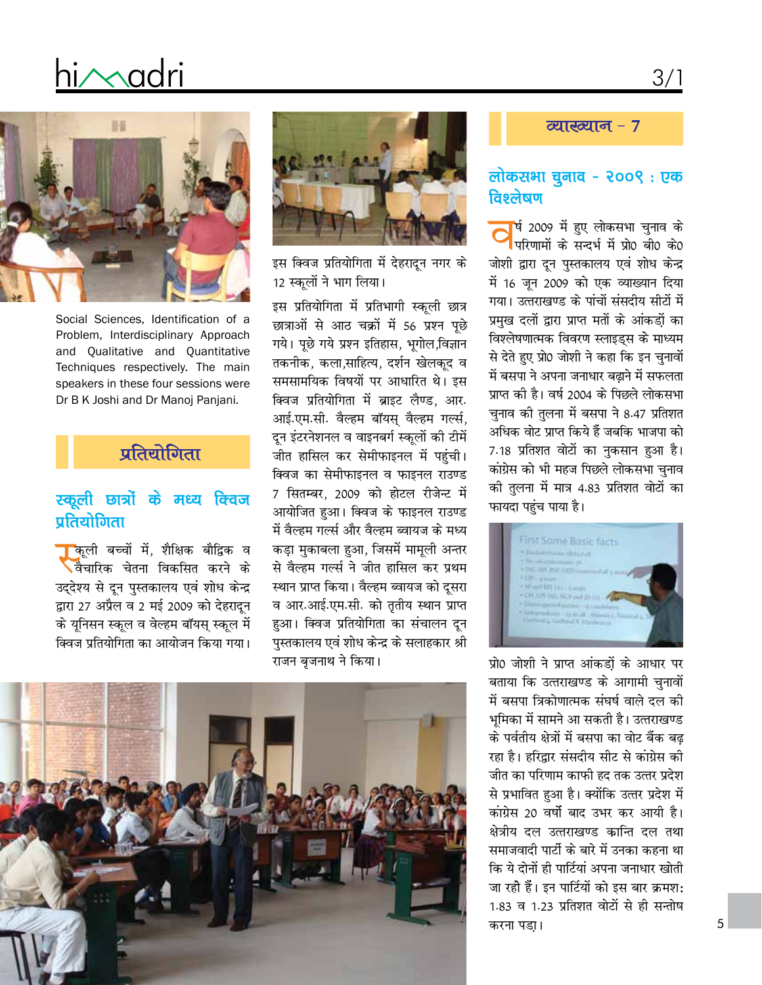# hi∕∧adri



Social Sciences, Identification of a Problem, Interdisciplinary Approach and Qualitative and Quantitative Techniques respectively. The main speakers in these four sessions were Dr B K Joshi and Dr Manoj Panjani.

### प्रतियोगिता

#### स्कूली छात्रों के मध्य क्विज पतियोगिता

<mark>। क</mark>ूली बच्चों में, शैक्षिक बौद्विक व ्वैचारिक चेतना विकसित करने के उद्देश्य से दून पुस्तकालय एवं शोध केन्द्र द्वारा 27 अप्रैल व 2 मई 2009 को देहरादून के यूनिसन स्कूल व वेल्हम बॉयस् स्कूल में क्विज प्रतियोगिता का आयोजन किया गया।



इस क्विज प्रतियोगिता में देहरादून नगर के 12 स्कूलों ने भाग लिया।

इस प्रतियोगिता में प्रतिभागी स्कूली छात्र छात्राओं से आठ चक्रों में 56 प्रश्न पुछे गये। पुछे गये प्रश्न इतिहास, भुगोल,विज्ञान तकनीक, कला,साहित्य, दर्शन खेलकूद व समसामयिक विषयों पर आधारित थे। इस क्विज प्रतियोगिता में ब्राइट लैण्ड. आर. आई.एम.सी. वैल्हम बॉयस वैल्हम गर्ल्स, दून इंटरनेशनल व वाइनबर्ग स्कूलों की टीमें जीत हासिल कर सेमीफाइनल में पहुंची। क्विज का सेमीफाइनल व फाइनल राउण्ड 7 सितम्बर, 2009 को होटल रीजेन्ट में आयोजित हुआ। क्विज के फाइनल राउण्ड में वैल्हम गर्ल्स और वैल्हम ब्वायज के मध्य कड़ा मुकाबला हुआ, जिसमें मामूली अन्तर से वैल्हम गर्ल्स ने जीत हासिल कर प्रथम स्थान प्राप्त किया। वैल्हम ब्वायज को दुसरा व आर.आई.एम.सी. को तृतीय स्थान प्राप्त हुआ। क्विज प्रतियोगिता का संचालन दन पुस्तकालय एवं शोध केन्द्र के सलाहकार श्री राजन बजनाथ ने किया।



#### व्याख्यान - 7

#### लोकसभा चुनाव - २००९: एक विश्लेषण

<mark>र्ष 2009 में हुए लोकसभा चुनाव के</mark> परिणामों के सन्दर्भ में प्रो0 बी0 के0 जोशी द्वारा दून पुस्तकालय एवं शोध केन्द्र में 16 जून 2009 को एक व्याख्यान दिया गया। उत्तराखण्ड के पांचों संसदीय सीटों में प्रमुख दलों द्वारा प्राप्त मतों के आंकड़ों का विश्लेषणात्मक विवरण स्लाइड्स के माध्यम से देते हुए प्रो0 जोशी ने कहा कि इन चुनावों में बसपा ने अपना जनाधार बढ़ाने में सफलता प्राप्त की है। वर्ष 2004 के पिछले लोकसभा चुनाव की तुलना में बसपा ने 8.47 प्रतिशत अधिक वोट प्राप्त किये हैं जबकि भाजपा को 7.18 प्रतिशत वोटों का नुकसान हुआ है। कांग्रेस को भी महज पिछले लोकसभा चुनाव की तुलना में मात्र 4.83 प्रतिशत वोटों का फायदा पहुंच पाया है।



प्रो0 जोशी ने प्राप्त आंकड़ों के आधार पर बताया कि उत्तराखण्ड के आगामी चुनावों में बसपा त्रिकोणात्मक संघर्ष वाले दल की भमिका में सामने आ सकती है। उत्तराखण्ड के पर्वतीय क्षेत्रों में बसपा का वोट बैंक बढ़ रहा है। हरिद्वार संसदीय सीट से कांग्रेस की जीत का परिणाम काफी हद तक उत्तर प्रदेश से प्रभावित हुआ है। क्योंकि उत्तर प्रदेश में कांग्रेस 20 वर्षो बाद उभर कर आयी है। क्षेत्रीय दल उत्तराखण्ड कान्ति दल तथा समाजवादी पार्टी के बारे में उनका कहना था कि ये दोनों ही पार्टियां अपना जनाधार खोती जा रही हैं। इन पार्टियों को इस बार क्रमश: 1.83 व 1.23 प्रतिशत वोटों से ही सन्तोष करना पडा।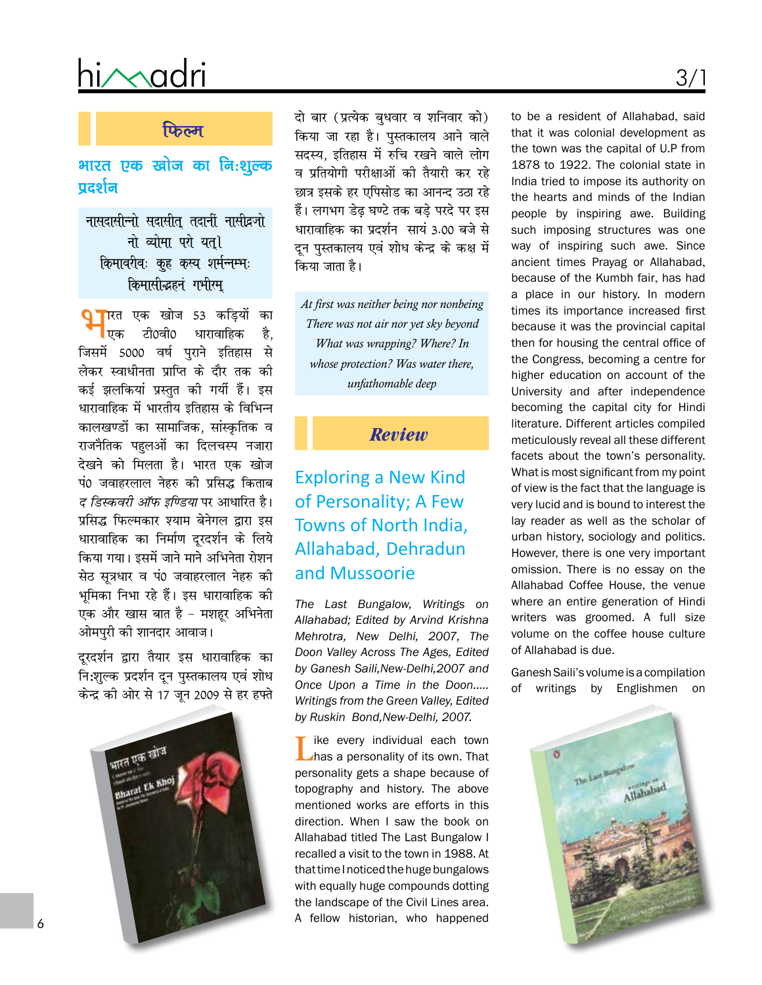# himadri

#### फिल्म

#### भारत एक खोज का नि:शुल्क  $\overline{u}$ दर्शन

नासदासीन्नो सदासीत तदानीं नासीद्रजो नो व्योमा परो यती किमावरीवः कह कस्य शर्मन्नम्भः किमासीद्धहनं गभीरम्

<mark>्र</mark>ाारत एक खोज 53 कड़ियों का <mark>।</mark> एक टी0वी0 धारावाहिक है. जिसमें 5000 वर्ष पुराने इतिहास से लेकर स्वाधीनता प्राप्ति के दौर तक की कई झलकियां प्रस्तुत की गयीं हैं। इस धारावाहिक में भारतीय इतिहास के विभिन्न कालखण्डों का सामाजिक, सांस्कृतिक व राजनैतिक पहलओं का दिलचस्प नजारा देखने को मिलता है। भारत एक खोज पं0 जवाहरलाल नेहरु की प्रसिद्ध किताब *द डिस्कवरी ऑफ इण्डिया* पर आधारित है। प्रसिद्ध फिल्मकार श्याम बेनेगल द्वारा इस धारावाहिक का निर्माण दरदर्शन के लिये किया गया। इसमें जाने माने अभिनेता रोशन सेठ सूत्रधार व पं0 जवाहरलाल नेहरु की भूमिका निभा रहे हैं। इस धारावाहिक की एक और खास बात है - मशहूर अभिनेता ओमपुरी की शानदार आवाज।

दूरदर्शन द्वारा तैयार इस धारावाहिक का नि:शुल्क प्रदर्शन दून पुस्तकालय एवं शोध केन्द्र की ओर से 17 जून 2009 से हर हफ्ते



दो बार (प्रत्येक बृधवार व शनिवार को) किया जा रहा है। पुस्तकालय आने वाले सदस्य. इतिहास में रुचि रखने वाले लोग व प्रतियोगी परीक्षाओं की तैयारी कर रहे छात्र इसके हर एपिसोड का आनन्द उठा रहे हैं। लगभग डेढ घण्टे तक बड़े परदे पर इस धारावाहिक का प्रदर्शन सायं 3.00 बजे से दन पस्तकालय एवं शोध केन्द्र के कक्ष में किया जाता है।

At first was neither being nor nonbeing There was not air nor yet sky beyond What was wrapping? Where? In whose protection? Was water there, unfathomable deep

#### **Review**

## **Exploring a New Kind** of Personality; A Few Towns of North India, Allahabad, Dehradun and Mussoorie

The Last Bungalow, Writings on Allahabad: Edited by Arvind Krishna Mehrotra, New Delhi, 2007, The Doon Valley Across The Ages, Edited by Ganesh Saili, New-Delhi, 2007 and Once Upon a Time in the Doon..... Writings from the Green Valley, Edited by Ruskin Bond, New-Delhi, 2007.

ike every individual each town has a personality of its own. That personality gets a shape because of topography and history. The above mentioned works are efforts in this direction. When I saw the book on Allahabad titled The Last Bungalow I recalled a visit to the town in 1988. At that time I noticed the huge bungalows with equally huge compounds dotting the landscape of the Civil Lines area. A fellow historian, who happened

to be a resident of Allahabad, said that it was colonial development as the town was the capital of U.P from 1878 to 1922. The colonial state in India tried to impose its authority on the hearts and minds of the Indian people by inspiring awe. Building such imposing structures was one way of inspiring such awe. Since ancient times Prayag or Allahabad, because of the Kumbh fair, has had a place in our history. In modern times its importance increased first because it was the provincial capital then for housing the central office of the Congress, becoming a centre for higher education on account of the University and after independence becoming the capital city for Hindi literature. Different articles compiled meticulously reveal all these different facets about the town's personality. What is most significant from my point of view is the fact that the language is very lucid and is bound to interest the lay reader as well as the scholar of urban history, sociology and politics. However, there is one very important omission. There is no essay on the Allahabad Coffee House, the venue where an entire generation of Hindi writers was groomed. A full size volume on the coffee house culture of Allahabad is due.

Ganesh Saili's volume is a compilation of writings by Englishmen on

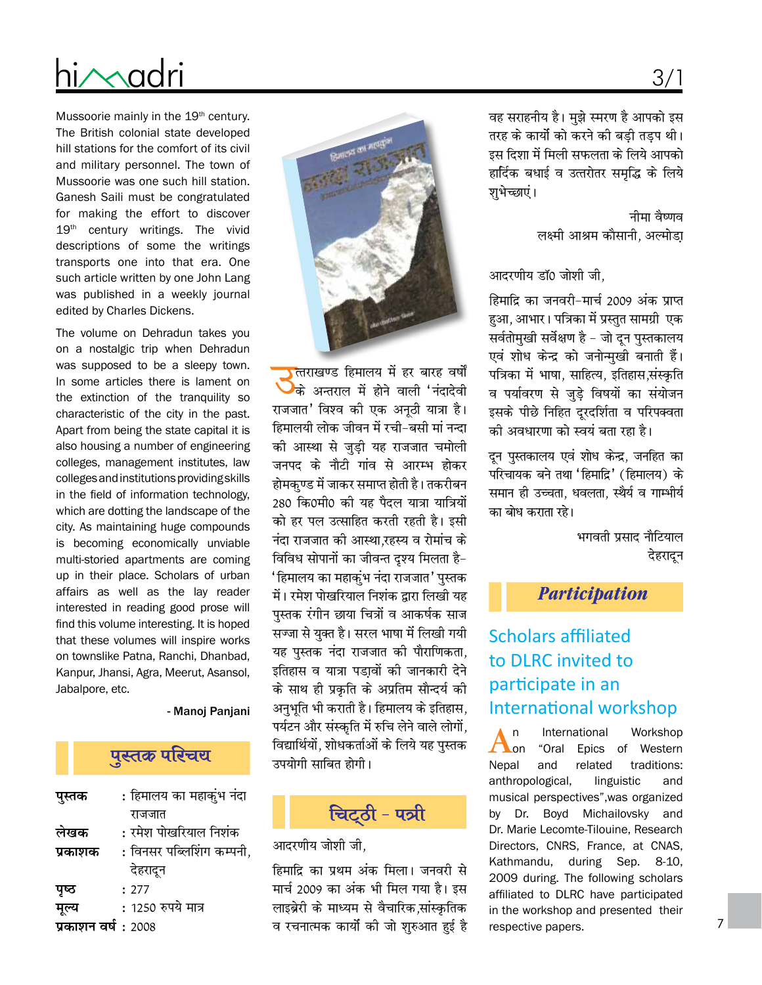# hi∕∧adri

Mussoorie mainly in the 19th century. The British colonial state developed hill stations for the comfort of its civil and military personnel. The town of Mussoorie was one such hill station. Ganesh Saili must be congratulated for making the effort to discover 19th century writings. The vivid descriptions of some the writings transports one into that era. One such article written by one John Lang was published in a weekly journal edited by Charles Dickens.

The volume on Dehradun takes you on a nostalgic trip when Dehradun was supposed to be a sleepy town. In some articles there is lament on the extinction of the tranquility so characteristic of the city in the past. Apart from being the state capital it is also housing a number of engineering colleges, management institutes, law colleges and institutions providing skills in the field of information technology. which are dotting the landscape of the city. As maintaining huge compounds is becoming economically unviable multi-storied apartments are coming up in their place. Scholars of urban affairs as well as the lay reader interested in reading good prose will find this volume interesting. It is hoped that these volumes will inspire works on townslike Patna, Ranchi, Dhanbad, Kanpur, Jhansi, Agra, Meerut, Asansol, Jabalpore, etc.

- Manoj Panjani

### पुस्तक परिचय

| पुस्तक             | : हिमालय का महाकुंभ नंदा  |
|--------------------|---------------------------|
|                    | राजजात                    |
| लेखक               | : रमेश पोखरियाल निशंक     |
| प्रकाशक            | : विनसर पब्लिशिंग कम्पनी, |
|                    | देहरादून                  |
| पृष्ठ              | : 277                     |
| मूल्य              | : 1250 रुपये मात्र        |
| प्रकाशन वर्ष: 2008 |                           |



**)**त्तराखण्ड हिमालय में हर बारह वर्षों के अन्तराल में होने वाली 'नंदादेवी राजजात' विश्व की एक अनूठी यात्रा है। हिमालयी लोक जीवन में रची–बसी मां नन्दा की आस्था से जुड़ी यह राजजात चमोली जनपद के नौटी गांव से आरम्भ होकर होमकुण्ड में जाकर समाप्त होती है। तकरीबन 280 कि0मी0 की यह पैदल यात्रा यात्रियों को हर पल उत्साहित करती रहती है। इसी नंदा राजजात की आस्था,रहस्य व रोमांच के विविध सोपानों का जीवन्त दृश्य मिलता है-' हिमालय का महाकुंभ नंदा राजजात' पुस्तक में। रमेश पोखरियाल निशंक द्वारा लिखी यह पुस्तक रंगीन छाया चित्रों व आकर्षक साज सज्जा से युक्त है। सरल भाषा में लिखी गयी यह पुस्तक नंदा राजजात की पौराणिकता, इतिहास व यात्रा पडा़वों की जानकारी देने के साथ ही प्रकृति के अप्रतिम सौन्दर्य की अनुभूति भी कराती है। हिमालय के इतिहास, पर्यटन और संस्कृति में रुचि लेने वाले लोगों, विद्यार्थियों, शोधकर्ताओं के लिये यह पुस्तक उपयोगी साबित होगी।



आदरणीय जोशी जी.

हिमाद्रि का प्रथम अंक मिला। जनवरी से मार्च 2009 का अंक भी मिल गया है। इस लाइब्रेरी के माध्यम से वैचारिक,सांस्कृतिक व रचनात्मक कार्यो की जो शुरुआत हुई है वह सराहनीय है। मुझे स्मरण है आपको इस तरह के कार्यो को करने की बड़ी तड़प थी। इस दिशा में मिली सफलता के लिये आपको हार्दिक बधाई व उत्तरोतर समृद्धि के लिये शुभेच्छाएं।

> नीमा वैष्णव लक्ष्मी आश्रम कौसानी, अल्मोडा

आदरणीय डॉ0 जोशी जी.

हिमाद्रि का जनवरी-मार्च 2009 अंक प्राप्त हुआ, आभार। पत्रिका में प्रस्तुत सामग्री एक सर्वतोमुखी सर्वेक्षण है - जो दून पुस्तकालय एवं शोध केन्द्र को जनोन्मुखी बनाती हैं। पत्रिका में भाषा, साहित्य, इतिहास,संस्कृति व पर्यावरण से जुड़े विषयों का संयोजन इसके पीछे निहित दूरदर्शिता व परिपक्वता की अवधारणा को स्वयं बता रहा है।

दुन पुस्तकालय एवं शोध केन्द्र, जनहित का परिचायक बने तथा 'हिमाद्रि' (हिमालय) के समान ही उच्चता, धवलता, स्थैर्य व गाम्भीर्य का बोध कराता रहे।

> भगवती प्रसाद नौटियाल देहरादन

#### **Participation**

## **Scholars affiliated** to DLRC invited to participate in an **International workshop**

International Workshop  $\mathsf{n}$  $\Gamma$  on "Oral Epics of Western Nepal and related traditions: anthropological, linguistic and musical perspectives", was organized by Dr. Boyd Michailovsky and Dr. Marie Lecomte-Tilouine, Research Directors, CNRS, France, at CNAS, Kathmandu, during Sep. 8-10, 2009 during. The following scholars affiliated to DLRC have participated in the workshop and presented their respective papers.

## $3/1$